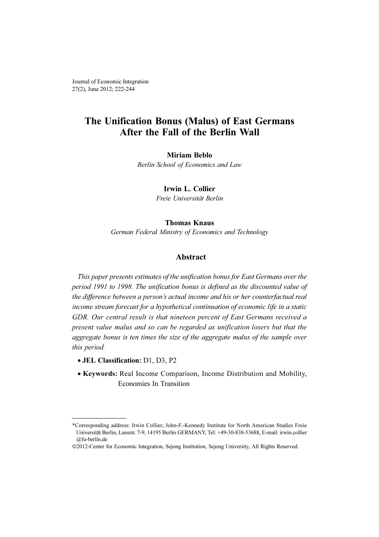Journal of Economic Integration 27(2), June 2012; 222-244

## The Unification Bonus (Malus) of East Germans After the Fall of the Berlin Wall

#### Miriam Beblo

Berlin School of Economics and Law

Irwin L. Collier

Freie Universität Berlin

#### Thomas Knaus

German Federal Ministry of Economics and Technology

## Abstract

This paper presents estimates of the unification bonus for East Germans over the period 1991 to 1998. The unification bonus is defined as the discounted value of the difference between a person's actual income and his or her counterfactual real income stream forecast for a hypothetical continuation of economic life in a static GDR. Our central result is that nineteen percent of East Germans received a present value malus and so can be regarded as unification losers but that the aggregate bonus is ten times the size of the aggregate malus of the sample over this period.

- JEL Classification: D1, D3, P2
- Keywords: Real Income Comparison, Income Distribution and Mobility, Economies In Transition

<sup>\*</sup>Corresponding address: Irwin Collier; John-F.-Kennedy Institute for North American Studies Freie Universität Berlin, Lansstr. 7-9, 14195 Berlin GERMANY, Tel: +49-30-838-53688, E-mail: irwin.collier @fu-berlin.de

<sup>©</sup>2012-Center for Economic Integration, Sejong Institution, Sejong University, All Rights Reserved.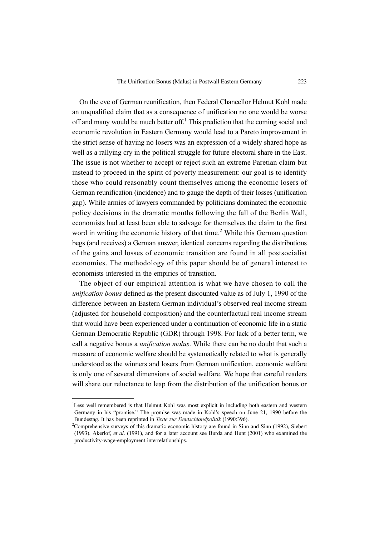On the eve of German reunification, then Federal Chancellor Helmut Kohl made an unqualified claim that as a consequence of unification no one would be worse off and many would be much better off.<sup>1</sup> This prediction that the coming social and economic revolution in Eastern Germany would lead to a Pareto improvement in the strict sense of having no losers was an expression of a widely shared hope as well as a rallying cry in the political struggle for future electoral share in the East. The issue is not whether to accept or reject such an extreme Paretian claim but instead to proceed in the spirit of poverty measurement: our goal is to identify those who could reasonably count themselves among the economic losers of German reunification (incidence) and to gauge the depth of their losses (unification gap). While armies of lawyers commanded by politicians dominated the economic policy decisions in the dramatic months following the fall of the Berlin Wall, economists had at least been able to salvage for themselves the claim to the first word in writing the economic history of that time.<sup>2</sup> While this German question begs (and receives) a German answer, identical concerns regarding the distributions of the gains and losses of economic transition are found in all postsocialist economies. The methodology of this paper should be of general interest to economists interested in the empirics of transition.

The object of our empirical attention is what we have chosen to call the unification bonus defined as the present discounted value as of July 1, 1990 of the difference between an Eastern German individual's observed real income stream (adjusted for household composition) and the counterfactual real income stream that would have been experienced under a continuation of economic life in a static German Democratic Republic (GDR) through 1998. For lack of a better term, we call a negative bonus a *unification malus*. While there can be no doubt that such a measure of economic welfare should be systematically related to what is generally understood as the winners and losers from German unification, economic welfare is only one of several dimensions of social welfare. We hope that careful readers will share our reluctance to leap from the distribution of the unification bonus or

<sup>&</sup>lt;sup>1</sup>Less well remembered is that Helmut Kohl was most explicit in including both eastern and western Germany in his "promise." The promise was made in Kohl's speech on June 21, 1990 before the Bundestag. It has been reprinted in Texte zur Deutschlandpolitik (1990:396). <sup>2</sup>

<sup>&</sup>lt;sup>2</sup>Comprehensive surveys of this dramatic economic history are found in Sinn and Sinn (1992), Siebert (1993), Akerlof, et al. (1991), and for a later account see Burda and Hunt (2001) who examined the productivity-wage-employment interrelationships.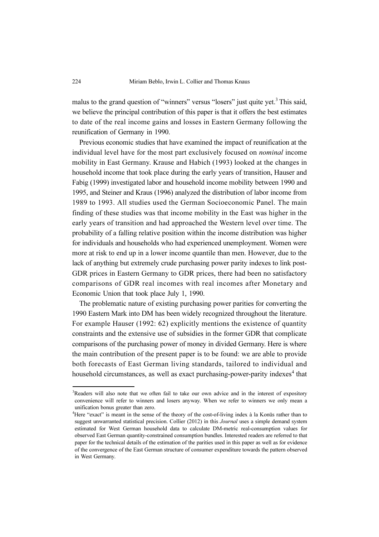malus to the grand question of "winners" versus "losers" just quite yet.<sup>3</sup> This said, we believe the principal contribution of this paper is that it offers the best estimates to date of the real income gains and losses in Eastern Germany following the reunification of Germany in 1990.

Previous economic studies that have examined the impact of reunification at the individual level have for the most part exclusively focused on nominal income mobility in East Germany. Krause and Habich (1993) looked at the changes in household income that took place during the early years of transition, Hauser and Fabig (1999) investigated labor and household income mobility between 1990 and 1995, and Steiner and Kraus (1996) analyzed the distribution of labor income from 1989 to 1993. All studies used the German Socioeconomic Panel. The main finding of these studies was that income mobility in the East was higher in the early years of transition and had approached the Western level over time. The probability of a falling relative position within the income distribution was higher for individuals and households who had experienced unemployment. Women were more at risk to end up in a lower income quantile than men. However, due to the lack of anything but extremely crude purchasing power parity indexes to link post-GDR prices in Eastern Germany to GDR prices, there had been no satisfactory comparisons of GDR real incomes with real incomes after Monetary and Economic Union that took place July 1, 1990.

The problematic nature of existing purchasing power parities for converting the 1990 Eastern Mark into DM has been widely recognized throughout the literature. For example Hauser (1992: 62) explicitly mentions the existence of quantity constraints and the extensive use of subsidies in the former GDR that complicate comparisons of the purchasing power of money in divided Germany. Here is where the main contribution of the present paper is to be found: we are able to provide both forecasts of East German living standards, tailored to individual and household circumstances, as well as exact purchasing-power-parity indexes<sup>4</sup> that

<sup>&</sup>lt;sup>3</sup>Readers will also note that we often fail to take our own advice and in the interest of expository convenience will refer to winners and losers anyway. When we refer to winners we only mean a unification bonus greater than zero.

<sup>&</sup>lt;sup>4</sup>Here "exact" is meant in the sense of the theory of the cost-of-living index à la Konüs rather than to suggest unwarranted statistical precision. Collier (2012) in this Journal uses a simple demand system estimated for West German household data to calculate DM-metric real-consumption values for observed East German quantity-constrained consumption bundles. Interested readers are referred to that paper for the technical details of the estimation of the parities used in this paper as well as for evidence of the convergence of the East German structure of consumer expenditure towards the pattern observed in West Germany.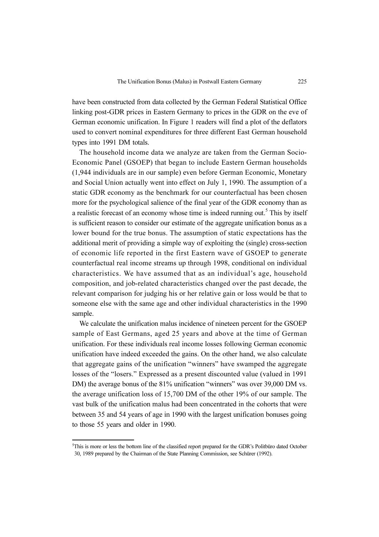have been constructed from data collected by the German Federal Statistical Office linking post-GDR prices in Eastern Germany to prices in the GDR on the eve of German economic unification. In Figure 1 readers will find a plot of the deflators used to convert nominal expenditures for three different East German household types into 1991 DM totals.

The household income data we analyze are taken from the German Socio-Economic Panel (GSOEP) that began to include Eastern German households (1,944 individuals are in our sample) even before German Economic, Monetary and Social Union actually went into effect on July 1, 1990. The assumption of a static GDR economy as the benchmark for our counterfactual has been chosen more for the psychological salience of the final year of the GDR economy than as a realistic forecast of an economy whose time is indeed running out.<sup>5</sup> This by itself is sufficient reason to consider our estimate of the aggregate unification bonus as a lower bound for the true bonus. The assumption of static expectations has the additional merit of providing a simple way of exploiting the (single) cross-section of economic life reported in the first Eastern wave of GSOEP to generate counterfactual real income streams up through 1998, conditional on individual characteristics. We have assumed that as an individual's age, household composition, and job-related characteristics changed over the past decade, the relevant comparison for judging his or her relative gain or loss would be that to someone else with the same age and other individual characteristics in the 1990 sample.

We calculate the unification malus incidence of nineteen percent for the GSOEP sample of East Germans, aged 25 years and above at the time of German unification. For these individuals real income losses following German economic unification have indeed exceeded the gains. On the other hand, we also calculate that aggregate gains of the unification "winners" have swamped the aggregate losses of the "losers." Expressed as a present discounted value (valued in 1991 DM) the average bonus of the 81% unification "winners" was over 39,000 DM vs. the average unification loss of 15,700 DM of the other 19% of our sample. The vast bulk of the unification malus had been concentrated in the cohorts that were between 35 and 54 years of age in 1990 with the largest unification bonuses going to those 55 years and older in 1990.

<sup>&</sup>lt;sup>5</sup>This is more or less the bottom line of the classified report prepared for the GDR's Politbüro dated October 30, 1989 prepared by the Chairman of the State Planning Commission, see Schürer (1992).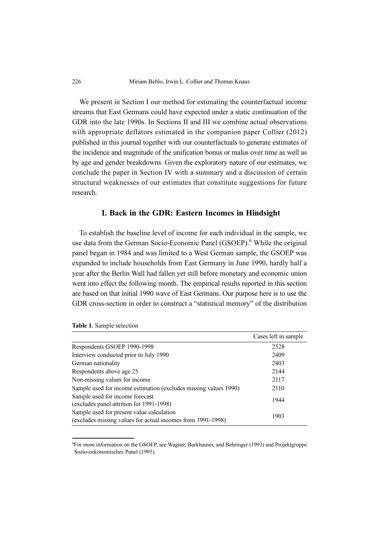We present in Section I our method for estimating the counterfactual income streams that East Germans could have expected under a static continuation of the GDR into the late 1990s. In Sections II and III we combine actual observations with appropriate deflators estimated in the companion paper Collier (2012) published in this journal together with our counterfactuals to generate estimates of the incidence and magnitude of the unification bonus or malus over time as well as by age and gender breakdowns. Given the exploratory nature of our estimates, we conclude the paper in Section IV with a summary and a discussion of certain structural weaknesses of our estimates that constitute suggestions for future research.

#### I. Back in the GDR: Eastern Incomes in Hindsight

To establish the baseline level of income for each individual in the sample, we use data from the German Socio-Economic Panel (GSOEP).<sup>6</sup> While the original panel began in 1984 and was limited to a West German sample, the GSOEP was expanded to include households from East Germany in June 1990, hardly half a year after the Berlin Wall had fallen yet still before monetary and economic union went into effect the following month. The empirical results reported in this section are based on that initial 1990 wave of East Germans. Our purpose here is to use the GDR cross-section in order to construct a "statistical memory" of the distribution

|                                                                                                          | Cases left in sample |
|----------------------------------------------------------------------------------------------------------|----------------------|
| Respondents GSOEP 1990-1998                                                                              | 2528                 |
| Interview conducted prior to July 1990                                                                   | 2409                 |
| German nationality                                                                                       | 2403                 |
| Respondents above age 25                                                                                 | 2144                 |
| Non-missing values for income                                                                            | 2117                 |
| Sample used for income estimation (excludes missing values 1990)                                         | 2110                 |
| Sample used for income forecast<br>(excludes panel attrition for 1991-1998)                              | 1944                 |
| Sample used for present value calculation<br>(excludes missing values for actual incomes from 1991-1998) | 1903                 |

Table 1. Sample selection

<sup>6</sup> For more information on the GSOEP, see Wagner, Burkhauser, and Behringer (1993) and Projektgruppe Sozio-oekonomisches Panel (1995).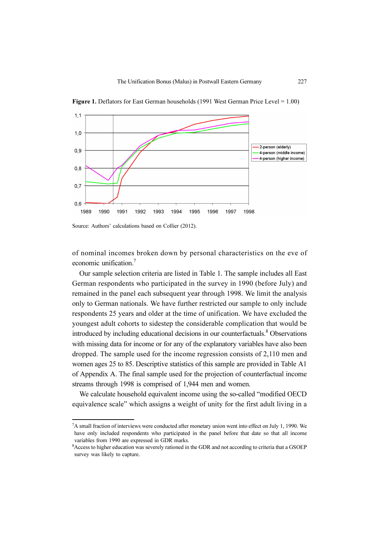

Figure 1. Deflators for East German households (1991 West German Price Level = 1.00)

Source: Authors' calculations based on Collier (2012).

of nominal incomes broken down by personal characteristics on the eve of economic unification.<sup>7</sup>

Our sample selection criteria are listed in Table 1. The sample includes all East German respondents who participated in the survey in 1990 (before July) and remained in the panel each subsequent year through 1998. We limit the analysis only to German nationals. We have further restricted our sample to only include respondents 25 years and older at the time of unification. We have excluded the youngest adult cohorts to sidestep the considerable complication that would be introduced by including educational decisions in our counterfactuals.<sup>8</sup> Observations with missing data for income or for any of the explanatory variables have also been dropped. The sample used for the income regression consists of 2,110 men and women ages 25 to 85. Descriptive statistics of this sample are provided in Table A1 of Appendix A. The final sample used for the projection of counterfactual income streams through 1998 is comprised of 1,944 men and women.

We calculate household equivalent income using the so-called "modified OECD equivalence scale" which assigns a weight of unity for the first adult living in a

 ${}^{7}$ A small fraction of interviews were conducted after monetary union went into effect on July 1, 1990. We have only included respondents who participated in the panel before that date so that all income variables from 1990 are expressed in GDR marks.

<sup>&</sup>lt;sup>8</sup> Access to higher education was severely rationed in the GDR and not according to criteria that a GSOEP survey was likely to capture.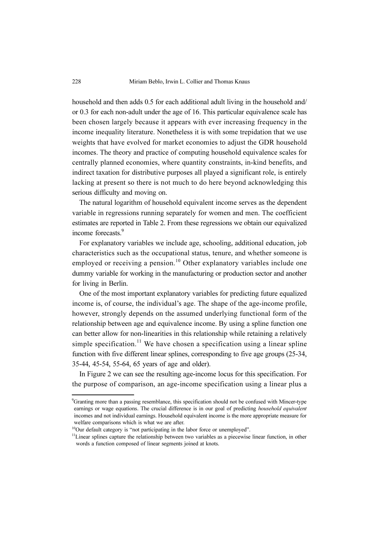household and then adds 0.5 for each additional adult living in the household and/ or 0.3 for each non-adult under the age of 16. This particular equivalence scale has been chosen largely because it appears with ever increasing frequency in the income inequality literature. Nonetheless it is with some trepidation that we use weights that have evolved for market economies to adjust the GDR household incomes. The theory and practice of computing household equivalence scales for centrally planned economies, where quantity constraints, in-kind benefits, and indirect taxation for distributive purposes all played a significant role, is entirely lacking at present so there is not much to do here beyond acknowledging this serious difficulty and moving on.

The natural logarithm of household equivalent income serves as the dependent variable in regressions running separately for women and men. The coefficient estimates are reported in Table 2. From these regressions we obtain our equivalized income forecasts.<sup>9</sup>

For explanatory variables we include age, schooling, additional education, job characteristics such as the occupational status, tenure, and whether someone is employed or receiving a pension.<sup>10</sup> Other explanatory variables include one dummy variable for working in the manufacturing or production sector and another for living in Berlin.

One of the most important explanatory variables for predicting future equalized income is, of course, the individual's age. The shape of the age-income profile, however, strongly depends on the assumed underlying functional form of the relationship between age and equivalence income. By using a spline function one can better allow for non-linearities in this relationship while retaining a relatively simple specification.<sup>11</sup> We have chosen a specification using a linear spline function with five different linear splines, corresponding to five age groups (25-34, 35-44, 45-54, 55-64, 65 years of age and older).

In Figure 2 we can see the resulting age-income locus for this specification. For the purpose of comparison, an age-income specification using a linear plus a

<sup>&</sup>lt;sup>9</sup>Granting more than a passing resemblance, this specification should not be confused with Mincer-type earnings or wage equations. The crucial difference is in our goal of predicting *household equivalent* incomes and not individual earnings. Household equivalent income is the more appropriate measure for welfare comparisons which is what we are after.

<sup>&</sup>lt;sup>10</sup>Our default category is "not participating in the labor force or unemployed".

<sup>&</sup>lt;sup>11</sup>Linear splines capture the relationship between two variables as a piecewise linear function, in other words a function composed of linear segments joined at knots.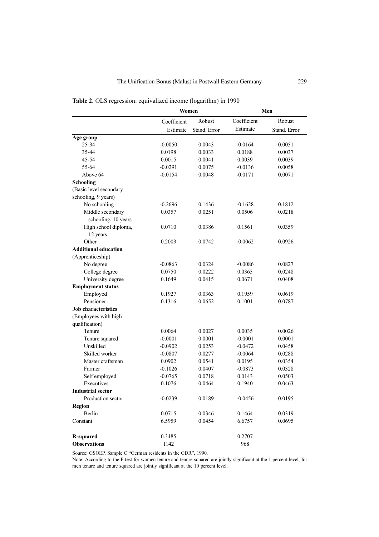|                             |             | Women        |             | Men          |  |
|-----------------------------|-------------|--------------|-------------|--------------|--|
|                             | Coefficient | Robust       | Coefficient | Robust       |  |
|                             | Estimate    | Stand. Error | Estimate    | Stand. Error |  |
| Age group                   |             |              |             |              |  |
| $25 - 34$                   | $-0.0050$   | 0.0043       | $-0.0164$   | 0.0051       |  |
| 35-44                       | 0.0198      | 0.0033       | 0.0188      | 0.0037       |  |
| 45-54                       | 0.0015      | 0.0041       | 0.0039      | 0.0039       |  |
| 55-64                       | $-0.0291$   | 0.0075       | $-0.0136$   | 0.0058       |  |
| Above 64                    | $-0.0154$   | 0.0048       | $-0.0171$   | 0.0071       |  |
| Schooling                   |             |              |             |              |  |
| (Basic level secondary      |             |              |             |              |  |
| schooling, 9 years)         |             |              |             |              |  |
| No schooling                | $-0.2696$   | 0.1436       | $-0.1628$   | 0.1812       |  |
| Middle secondary            | 0.0357      | 0.0251       | 0.0506      | 0.0218       |  |
| schooling, 10 years         |             |              |             |              |  |
| High school diploma,        | 0.0710      | 0.0386       | 0.1561      | 0.0359       |  |
| 12 years                    |             |              |             |              |  |
| Other                       | 0.2003      | 0.0742       | $-0.0062$   | 0.0926       |  |
| <b>Additional education</b> |             |              |             |              |  |
| (Apprenticeship)            |             |              |             |              |  |
| No degree                   | $-0.0863$   | 0.0324       | $-0.0086$   | 0.0827       |  |
| College degree              | 0.0750      | 0.0222       | 0.0365      | 0.0248       |  |
| University degree           | 0.1649      | 0.0415       | 0.0671      | 0.0408       |  |
| <b>Employment status</b>    |             |              |             |              |  |
| Employed                    | 0.1927      | 0.0363       | 0.1959      | 0.0619       |  |
| Pensioner                   | 0.1316      | 0.0652       | 0.1001      | 0.0787       |  |
| <b>Job characteristics</b>  |             |              |             |              |  |
| (Employees with high        |             |              |             |              |  |
| qualification)              |             |              |             |              |  |
| Tenure                      | 0.0064      | 0.0027       | 0.0035      | 0.0026       |  |
| Tenure squared              | $-0.0001$   | 0.0001       | $-0.0001$   | 0.0001       |  |
| Unskilled                   | $-0.0902$   | 0.0253       | $-0.0472$   | 0.0458       |  |
| Skilled worker              | $-0.0807$   | 0.0277       | $-0.0064$   | 0.0288       |  |
| Master craftsman            | 0.0902      | 0.0541       | 0.0195      | 0.0354       |  |
| Farmer                      | $-0.1026$   | 0.0407       | $-0.0873$   | 0.0328       |  |
| Self employed               | $-0.0765$   | 0.0718       | 0.0143      | 0.0503       |  |
| Executives                  | 0.1076      | 0.0464       | 0.1940      | 0.0463       |  |
| <b>Industrial sector</b>    |             |              |             |              |  |
| Production sector           | $-0.0239$   | 0.0189       | $-0.0456$   | 0.0195       |  |
| <b>Region</b>               |             |              |             |              |  |
| Berlin                      | 0.0715      | 0.0346       | 0.1464      | 0.0319       |  |
| Constant                    | 6.5959      | 0.0454       | 6.6757      | 0.0695       |  |
|                             |             |              |             |              |  |
| R-squared                   | 0.3485      |              | 0.2707      |              |  |
| <b>Observations</b>         | 1142        |              | 968         |              |  |

| Table 2. OLS regression: equivalized income (logarithm) in 1990 |  |  |
|-----------------------------------------------------------------|--|--|
|-----------------------------------------------------------------|--|--|

Source: GSOEP, Sample C "German residents in the GDR", 1990.

Note: According to the F-test for women tenure and tenure squared are jointly significant at the 1 percent-level, for men tenure and tenure squared are jointly significant at the 10 percent level.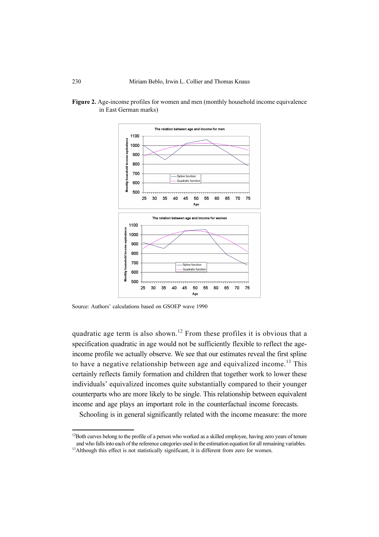

Figure 2. Age-income profiles for women and men (monthly household income equivalence in East German marks)

Source: Authors' calculations based on GSOEP wave 1990

quadratic age term is also shown.<sup>12</sup> From these profiles it is obvious that a specification quadratic in age would not be sufficiently flexible to reflect the ageincome profile we actually observe. We see that our estimates reveal the first spline to have a negative relationship between age and equivalized income.<sup>13</sup> This certainly reflects family formation and children that together work to lower these individuals' equivalized incomes quite substantially compared to their younger counterparts who are more likely to be single. This relationship between equivalent income and age plays an important role in the counterfactual income forecasts.

Schooling is in general significantly related with the income measure: the more

 $12$ Both curves belong to the profile of a person who worked as a skilled employee, having zero years of tenure and who falls into each of the reference categories used in the estimation equation for all remaining variables.

<sup>&</sup>lt;sup>13</sup>Although this effect is not statistically significant, it is different from zero for women.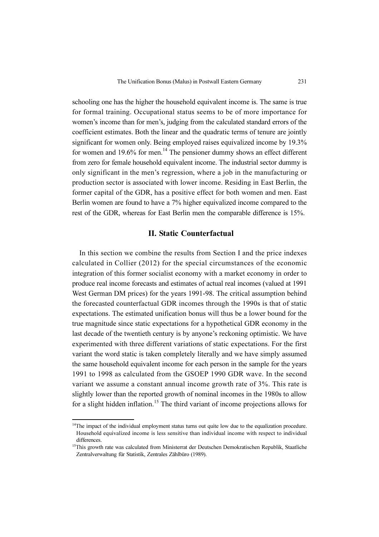schooling one has the higher the household equivalent income is. The same is true for formal training. Occupational status seems to be of more importance for women's income than for men's, judging from the calculated standard errors of the coefficient estimates. Both the linear and the quadratic terms of tenure are jointly significant for women only. Being employed raises equivalized income by 19.3% for women and  $19.6\%$  for men.<sup>14</sup> The pensioner dummy shows an effect different from zero for female household equivalent income. The industrial sector dummy is only significant in the men's regression, where a job in the manufacturing or production sector is associated with lower income. Residing in East Berlin, the former capital of the GDR, has a positive effect for both women and men. East Berlin women are found to have a 7% higher equivalized income compared to the rest of the GDR, whereas for East Berlin men the comparable difference is 15%.

## II. Static Counterfactual

In this section we combine the results from Section I and the price indexes calculated in Collier (2012) for the special circumstances of the economic integration of this former socialist economy with a market economy in order to produce real income forecasts and estimates of actual real incomes (valued at 1991 West German DM prices) for the years 1991-98. The critical assumption behind the forecasted counterfactual GDR incomes through the 1990s is that of static expectations. The estimated unification bonus will thus be a lower bound for the true magnitude since static expectations for a hypothetical GDR economy in the last decade of the twentieth century is by anyone's reckoning optimistic. We have experimented with three different variations of static expectations. For the first variant the word static is taken completely literally and we have simply assumed the same household equivalent income for each person in the sample for the years 1991 to 1998 as calculated from the GSOEP 1990 GDR wave. In the second variant we assume a constant annual income growth rate of 3%. This rate is slightly lower than the reported growth of nominal incomes in the 1980s to allow for a slight hidden inflation.<sup>15</sup> The third variant of income projections allows for

<sup>&</sup>lt;sup>14</sup>The impact of the individual employment status turns out quite low due to the equalization procedure. Household equivalized income is less sensitive than individual income with respect to individual differences.

<sup>&</sup>lt;sup>15</sup>This growth rate was calculated from Ministerrat der Deutschen Demokratischen Republik, Staatliche Zentralverwaltung für Statistik, Zentrales Zählbüro (1989).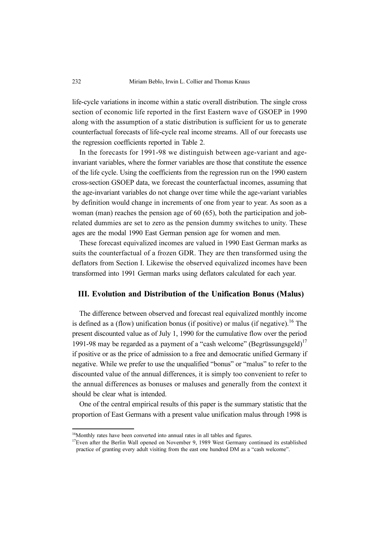life-cycle variations in income within a static overall distribution. The single cross section of economic life reported in the first Eastern wave of GSOEP in 1990 along with the assumption of a static distribution is sufficient for us to generate counterfactual forecasts of life-cycle real income streams. All of our forecasts use the regression coefficients reported in Table 2.

In the forecasts for 1991-98 we distinguish between age-variant and ageinvariant variables, where the former variables are those that constitute the essence of the life cycle. Using the coefficients from the regression run on the 1990 eastern cross-section GSOEP data, we forecast the counterfactual incomes, assuming that the age-invariant variables do not change over time while the age-variant variables by definition would change in increments of one from year to year. As soon as a woman (man) reaches the pension age of 60 (65), both the participation and jobrelated dummies are set to zero as the pension dummy switches to unity. These ages are the modal 1990 East German pension age for women and men.

These forecast equivalized incomes are valued in 1990 East German marks as suits the counterfactual of a frozen GDR. They are then transformed using the deflators from Section I. Likewise the observed equivalized incomes have been transformed into 1991 German marks using deflators calculated for each year.

#### III. Evolution and Distribution of the Unification Bonus (Malus)

The difference between observed and forecast real equivalized monthly income is defined as a (flow) unification bonus (if positive) or malus (if negative).<sup>16</sup> The present discounted value as of July 1, 1990 for the cumulative flow over the period 1991-98 may be regarded as a payment of a "cash welcome" (Begrüssungsgeld)<sup>17</sup> if positive or as the price of admission to a free and democratic unified Germany if negative. While we prefer to use the unqualified "bonus" or "malus" to refer to the discounted value of the annual differences, it is simply too convenient to refer to the annual differences as bonuses or maluses and generally from the context it should be clear what is intended.

One of the central empirical results of this paper is the summary statistic that the proportion of East Germans with a present value unification malus through 1998 is

<sup>&</sup>lt;sup>16</sup>Monthly rates have been converted into annual rates in all tables and figures.

 $17$ Even after the Berlin Wall opened on November 9, 1989 West Germany continued its established practice of granting every adult visiting from the east one hundred DM as a "cash welcome".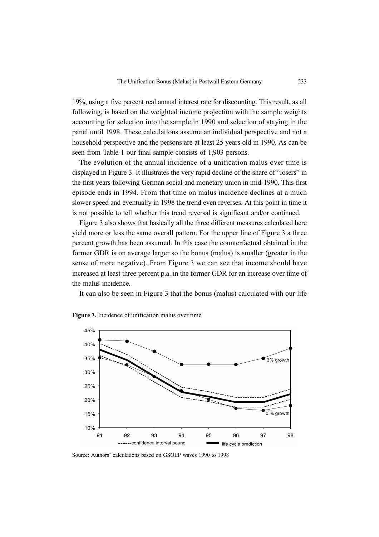19%, using a five percent real annual interest rate for discounting. This result, as all following, is based on the weighted income projection with the sample weights accounting for selection into the sample in 1990 and selection of staying in the panel until 1998. These calculations assume an individual perspective and not a household perspective and the persons are at least 25 years old in 1990. As can be seen from Table 1 our final sample consists of 1,903 persons.

The evolution of the annual incidence of a unification malus over time is displayed in Figure 3. It illustrates the very rapid decline of the share of "losers" in the first years following German social and monetary union in mid-1990. This first episode ends in 1994. From that time on malus incidence declines at a much slower speed and eventually in 1998 the trend even reverses. At this point in time it is not possible to tell whether this trend reversal is significant and/or continued.

Figure 3 also shows that basically all the three different measures calculated here yield more or less the same overall pattern. For the upper line of Figure 3 a three percent growth has been assumed. In this case the counterfactual obtained in the former GDR is on average larger so the bonus (malus) is smaller (greater in the sense of more negative). From Figure 3 we can see that income should have increased at least three percent p.a. in the former GDR for an increase over time of the malus incidence.

It can also be seen in Figure 3 that the bonus (malus) calculated with our life



Figure 3. Incidence of unification malus over time

Source: Authors' calculations based on GSOEP waves 1990 to 1998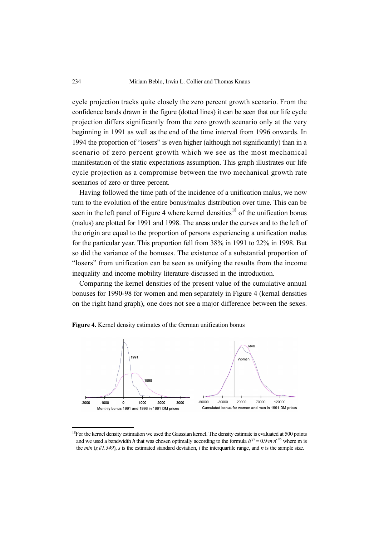cycle projection tracks quite closely the zero percent growth scenario. From the confidence bands drawn in the figure (dotted lines) it can be seen that our life cycle projection differs significantly from the zero growth scenario only at the very beginning in 1991 as well as the end of the time interval from 1996 onwards. In 1994 the proportion of "losers" is even higher (although not significantly) than in a scenario of zero percent growth which we see as the most mechanical manifestation of the static expectations assumption. This graph illustrates our life cycle projection as a compromise between the two mechanical growth rate scenarios of zero or three percent.

Having followed the time path of the incidence of a unification malus, we now turn to the evolution of the entire bonus/malus distribution over time. This can be seen in the left panel of Figure 4 where kernel densities<sup>18</sup> of the unification bonus (malus) are plotted for 1991 and 1998. The areas under the curves and to the left of the origin are equal to the proportion of persons experiencing a unification malus for the particular year. This proportion fell from 38% in 1991 to 22% in 1998. But so did the variance of the bonuses. The existence of a substantial proportion of "losers" from unification can be seen as unifying the results from the income inequality and income mobility literature discussed in the introduction.

Comparing the kernel densities of the present value of the cumulative annual bonuses for 1990-98 for women and men separately in Figure 4 (kernal densities on the right hand graph), one does not see a major difference between the sexes.





<sup>&</sup>lt;sup>18</sup>For the kernel density estimation we used the Gaussian kernel. The density estimate is evaluated at 500 points and we used a bandwidth h that was chosen optimally according to the formula  $h^{\rho p t} = 0.9 \cdot m \cdot n^{-1/5}$  where m is the *min* (s,  $i/1.349$ ), s is the estimated standard deviation, *i* the interquartile range, and *n* is the sample size.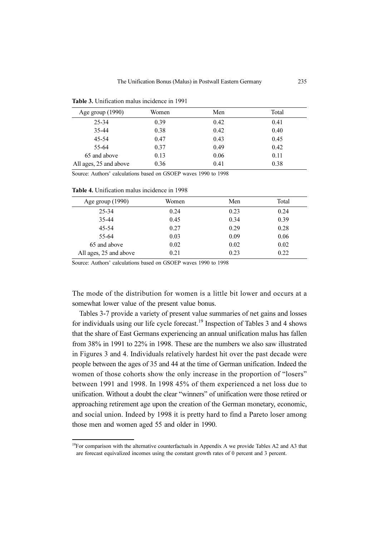| Age group $(1990)$     | Women | Men  | Total |
|------------------------|-------|------|-------|
| 25-34                  | 0.39  | 0.42 | 0.41  |
| 35-44                  | 0.38  | 0.42 | 0.40  |
| $45 - 54$              | 0.47  | 0.43 | 0.45  |
| 55-64                  | 0.37  | 0.49 | 0.42  |
| 65 and above           | 0.13  | 0.06 | 0.11  |
| All ages, 25 and above | 0.36  | 0.41 | 0.38  |

Table 3. Unification malus incidence in 1991

Source: Authors' calculations based on GSOEP waves 1990 to 1998

Table 4. Unification malus incidence in 1998

| Age group $(1990)$     | Women | Men  | Total |
|------------------------|-------|------|-------|
| 25-34                  | 0.24  | 0.23 | 0.24  |
| 35-44                  | 0.45  | 0.34 | 0.39  |
| $45 - 54$              | 0.27  | 0.29 | 0.28  |
| 55-64                  | 0.03  | 0.09 | 0.06  |
| 65 and above           | 0.02  | 0.02 | 0.02  |
| All ages, 25 and above | 0.21  | 0.23 | 0.22  |

Source: Authors' calculations based on GSOEP waves 1990 to 1998

The mode of the distribution for women is a little bit lower and occurs at a somewhat lower value of the present value bonus.

Tables 3-7 provide a variety of present value summaries of net gains and losses for individuals using our life cycle forecast.<sup>19</sup> Inspection of Tables 3 and 4 shows that the share of East Germans experiencing an annual unification malus has fallen from 38% in 1991 to 22% in 1998. These are the numbers we also saw illustrated in Figures 3 and 4. Individuals relatively hardest hit over the past decade were people between the ages of 35 and 44 at the time of German unification. Indeed the women of those cohorts show the only increase in the proportion of "losers" between 1991 and 1998. In 1998 45% of them experienced a net loss due to unification. Without a doubt the clear "winners" of unification were those retired or approaching retirement age upon the creation of the German monetary, economic, and social union. Indeed by 1998 it is pretty hard to find a Pareto loser among those men and women aged 55 and older in 1990.

 $19$ For comparison with the alternative counterfactuals in Appendix A we provide Tables A2 and A3 that are forecast equivalized incomes using the constant growth rates of 0 percent and 3 percent.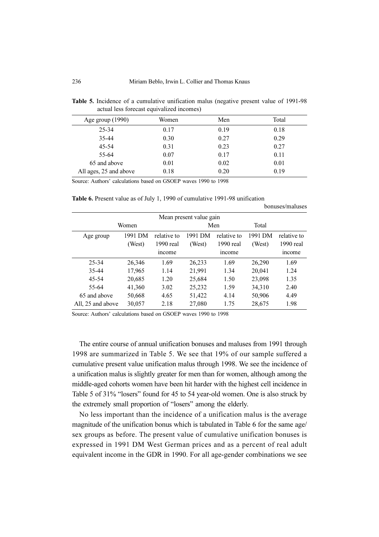| Age group $(1990)$     | Women | Men  | Total |
|------------------------|-------|------|-------|
| 25-34                  | 0.17  | 0.19 | 0.18  |
| 35-44                  | 0.30  | 0.27 | 0.29  |
| 45-54                  | 0.31  | 0.23 | 0.27  |
| 55-64                  | 0.07  | 0.17 | 0.11  |
| 65 and above           | 0.01  | 0.02 | 0.01  |
| All ages, 25 and above | 0.18  | 0.20 | 0.19  |

Table 5. Incidence of a cumulative unification malus (negative present value of 1991-98 actual less forecast equivalized incomes)

Source: Authors' calculations based on GSOEP waves 1990 to 1998

Table 6. Present value as of July 1, 1990 of cumulative 1991-98 unification

|                   | Mean present value gain |              |         |             |         |             |
|-------------------|-------------------------|--------------|---------|-------------|---------|-------------|
|                   | Women                   |              |         | Men         | Total   |             |
| Age group         | 1991 DM                 | relative to  | 1991 DM | relative to | 1991 DM | relative to |
|                   | (West)                  | $1990$ real  | (West)  | $1990$ real | (West)  | 1990 real   |
|                   |                         | <i>ncome</i> |         | income      |         | income      |
| 25-34             | 26,346                  | 1.69         | 26,233  | 1.69        | 26,290  | 1.69        |
| 35-44             | 17,965                  | 1.14         | 21,991  | 1.34        | 20,041  | 1.24        |
| 45-54             | 20,685                  | 1.20         | 25,684  | 1.50        | 23,098  | 1.35        |
| 55-64             | 41,360                  | 3.02         | 25,232  | 1.59        | 34,310  | 2.40        |
| 65 and above      | 50,668                  | 4.65         | 51,422  | 4.14        | 50,906  | 4.49        |
| All, 25 and above | 30,057                  | 2.18         | 27,080  | 1.75        | 28,675  | 1.98        |

bonuses/maluses

Source: Authors' calculations based on GSOEP waves 1990 to 1998

The entire course of annual unification bonuses and maluses from 1991 through 1998 are summarized in Table 5. We see that 19% of our sample suffered a cumulative present value unification malus through 1998. We see the incidence of a unification malus is slightly greater for men than for women, although among the middle-aged cohorts women have been hit harder with the highest cell incidence in Table 5 of 31% "losers" found for 45 to 54 year-old women. One is also struck by the extremely small proportion of "losers" among the elderly.

No less important than the incidence of a unification malus is the average magnitude of the unification bonus which is tabulated in Table 6 for the same age/ sex groups as before. The present value of cumulative unification bonuses is expressed in 1991 DM West German prices and as a percent of real adult equivalent income in the GDR in 1990. For all age-gender combinations we see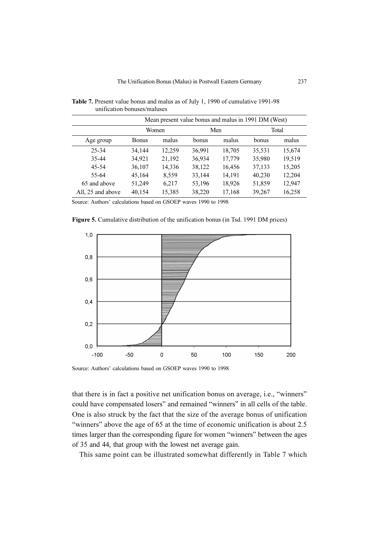|                   | Mean present value bonus and malus in 1991 DM (West) |        |              |        |        |        |
|-------------------|------------------------------------------------------|--------|--------------|--------|--------|--------|
|                   |                                                      | Women  |              | Men    |        | Total  |
| Age group         | <b>Bonus</b>                                         | malus  | <b>bonus</b> | malus  | bonus  | malus  |
| 25-34             | 34.144                                               | 12.259 | 36,991       | 18,705 | 35,531 | 15,674 |
| 35-44             | 34,921                                               | 21,192 | 36,934       | 17,779 | 35,980 | 19,519 |
| 45-54             | 36,107                                               | 14,336 | 38,122       | 16,456 | 37,133 | 15,205 |
| 55-64             | 45,164                                               | 8,559  | 33,144       | 14,191 | 40,230 | 12,204 |
| 65 and above      | 51,249                                               | 6,217  | 53,196       | 18,926 | 51,859 | 12,947 |
| All, 25 and above | 40,154                                               | 15,385 | 38,220       | 17,168 | 39,267 | 16,258 |

Table 7. Present value bonus and malus as of July 1, 1990 of cumulative 1991-98 unification bonuses/maluses

Source: Authors' calculations based on GSOEP waves 1990 to 1998

Figure 5. Cumulative distribution of the unification bonus (in Tsd. 1991 DM prices)



Source: Authors' calculations based on GSOEP waves 1990 to 1998

that there is in fact a positive net unification bonus on average, i.e., "winners" could have compensated losers" and remained "winners" in all cells of the table. One is also struck by the fact that the size of the average bonus of unification "winners" above the age of 65 at the time of economic unification is about 2.5 times larger than the corresponding figure for women "winners" between the ages of 35 and 44, that group with the lowest net average gain.

This same point can be illustrated somewhat differently in Table 7 which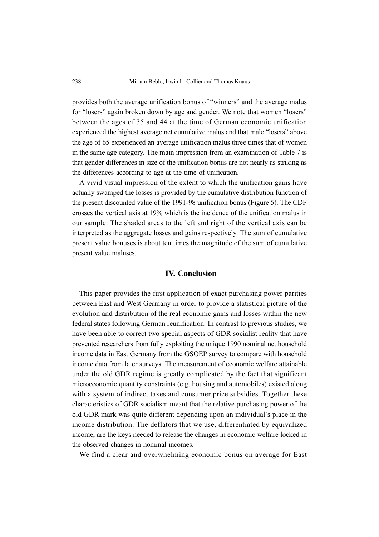provides both the average unification bonus of "winners" and the average malus for "losers" again broken down by age and gender. We note that women "losers" between the ages of 35 and 44 at the time of German economic unification experienced the highest average net cumulative malus and that male "losers" above the age of 65 experienced an average unification malus three times that of women in the same age category. The main impression from an examination of Table 7 is that gender differences in size of the unification bonus are not nearly as striking as the differences according to age at the time of unification.

A vivid visual impression of the extent to which the unification gains have actually swamped the losses is provided by the cumulative distribution function of the present discounted value of the 1991-98 unification bonus (Figure 5). The CDF crosses the vertical axis at 19% which is the incidence of the unification malus in our sample. The shaded areas to the left and right of the vertical axis can be interpreted as the aggregate losses and gains respectively. The sum of cumulative present value bonuses is about ten times the magnitude of the sum of cumulative present value maluses.

## IV. Conclusion

This paper provides the first application of exact purchasing power parities between East and West Germany in order to provide a statistical picture of the evolution and distribution of the real economic gains and losses within the new federal states following German reunification. In contrast to previous studies, we have been able to correct two special aspects of GDR socialist reality that have prevented researchers from fully exploiting the unique 1990 nominal net household income data in East Germany from the GSOEP survey to compare with household income data from later surveys. The measurement of economic welfare attainable under the old GDR regime is greatly complicated by the fact that significant microeconomic quantity constraints (e.g. housing and automobiles) existed along with a system of indirect taxes and consumer price subsidies. Together these characteristics of GDR socialism meant that the relative purchasing power of the old GDR mark was quite different depending upon an individual's place in the income distribution. The deflators that we use, differentiated by equivalized income, are the keys needed to release the changes in economic welfare locked in the observed changes in nominal incomes.

We find a clear and overwhelming economic bonus on average for East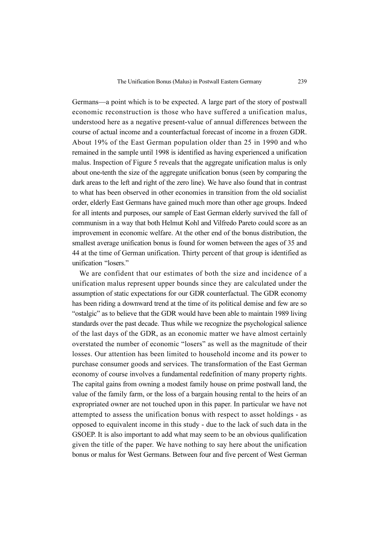Germans—a point which is to be expected. A large part of the story of postwall economic reconstruction is those who have suffered a unification malus, understood here as a negative present-value of annual differences between the course of actual income and a counterfactual forecast of income in a frozen GDR. About 19% of the East German population older than 25 in 1990 and who remained in the sample until 1998 is identified as having experienced a unification malus. Inspection of Figure 5 reveals that the aggregate unification malus is only about one-tenth the size of the aggregate unification bonus (seen by comparing the dark areas to the left and right of the zero line). We have also found that in contrast to what has been observed in other economies in transition from the old socialist order, elderly East Germans have gained much more than other age groups. Indeed for all intents and purposes, our sample of East German elderly survived the fall of communism in a way that both Helmut Kohl and Vilfredo Pareto could score as an improvement in economic welfare. At the other end of the bonus distribution, the smallest average unification bonus is found for women between the ages of 35 and 44 at the time of German unification. Thirty percent of that group is identified as unification "losers"

We are confident that our estimates of both the size and incidence of a unification malus represent upper bounds since they are calculated under the assumption of static expectations for our GDR counterfactual. The GDR economy has been riding a downward trend at the time of its political demise and few are so "ostalgic" as to believe that the GDR would have been able to maintain 1989 living standards over the past decade. Thus while we recognize the psychological salience of the last days of the GDR, as an economic matter we have almost certainly overstated the number of economic "losers" as well as the magnitude of their losses. Our attention has been limited to household income and its power to purchase consumer goods and services. The transformation of the East German economy of course involves a fundamental redefinition of many property rights. The capital gains from owning a modest family house on prime postwall land, the value of the family farm, or the loss of a bargain housing rental to the heirs of an expropriated owner are not touched upon in this paper. In particular we have not attempted to assess the unification bonus with respect to asset holdings - as opposed to equivalent income in this study - due to the lack of such data in the GSOEP. It is also important to add what may seem to be an obvious qualification given the title of the paper. We have nothing to say here about the unification bonus or malus for West Germans. Between four and five percent of West German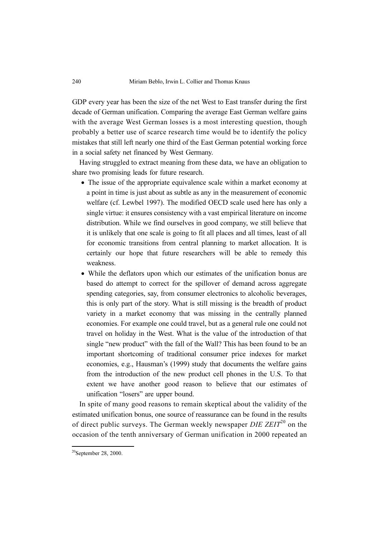GDP every year has been the size of the net West to East transfer during the first decade of German unification. Comparing the average East German welfare gains with the average West German losses is a most interesting question, though probably a better use of scarce research time would be to identify the policy mistakes that still left nearly one third of the East German potential working force in a social safety net financed by West Germany.

Having struggled to extract meaning from these data, we have an obligation to share two promising leads for future research.

- The issue of the appropriate equivalence scale within a market economy at a point in time is just about as subtle as any in the measurement of economic welfare (cf. Lewbel 1997). The modified OECD scale used here has only a single virtue: it ensures consistency with a vast empirical literature on income distribution. While we find ourselves in good company, we still believe that it is unlikely that one scale is going to fit all places and all times, least of all for economic transitions from central planning to market allocation. It is certainly our hope that future researchers will be able to remedy this weakness.
- While the deflators upon which our estimates of the unification bonus are based do attempt to correct for the spillover of demand across aggregate spending categories, say, from consumer electronics to alcoholic beverages, this is only part of the story. What is still missing is the breadth of product variety in a market economy that was missing in the centrally planned economies. For example one could travel, but as a general rule one could not travel on holiday in the West. What is the value of the introduction of that single "new product" with the fall of the Wall? This has been found to be an important shortcoming of traditional consumer price indexes for market economies, e.g., Hausman's (1999) study that documents the welfare gains from the introduction of the new product cell phones in the U.S. To that extent we have another good reason to believe that our estimates of unification "losers" are upper bound.

In spite of many good reasons to remain skeptical about the validity of the estimated unification bonus, one source of reassurance can be found in the results of direct public surveys. The German weekly newspaper  $DIE ZEIT^{20}$  on the occasion of the tenth anniversary of German unification in 2000 repeated an

<sup>&</sup>lt;sup>20</sup>September 28, 2000.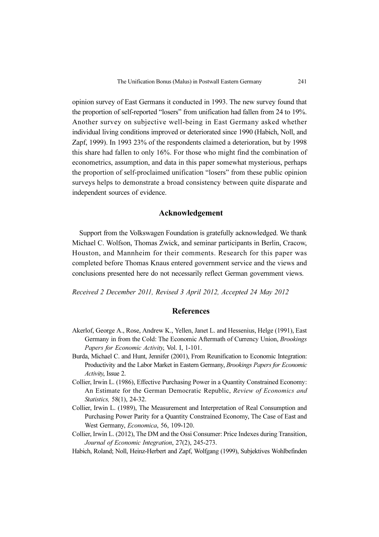opinion survey of East Germans it conducted in 1993. The new survey found that the proportion of self-reported "losers" from unification had fallen from 24 to 19%. Another survey on subjective well-being in East Germany asked whether individual living conditions improved or deteriorated since 1990 (Habich, Noll, and Zapf, 1999). In 1993 23% of the respondents claimed a deterioration, but by 1998 this share had fallen to only 16%. For those who might find the combination of econometrics, assumption, and data in this paper somewhat mysterious, perhaps the proportion of self-proclaimed unification "losers" from these public opinion surveys helps to demonstrate a broad consistency between quite disparate and independent sources of evidence.

### Acknowledgement

Support from the Volkswagen Foundation is gratefully acknowledged. We thank Michael C. Wolfson, Thomas Zwick, and seminar participants in Berlin, Cracow, Houston, and Mannheim for their comments. Research for this paper was completed before Thomas Knaus entered government service and the views and conclusions presented here do not necessarily reflect German government views.

Received 2 December 2011, Revised 3 April 2012, Accepted 24 May 2012

#### References

- Akerlof, George A., Rose, Andrew K., Yellen, Janet L. and Hessenius, Helge (1991), East Germany in from the Cold: The Economic Aftermath of Currency Union, Brookings Papers for Economic Activity, Vol. I, 1-101.
- Burda, Michael C. and Hunt, Jennifer (2001), From Reunification to Economic Integration: Productivity and the Labor Market in Eastern Germany, Brookings Papers for Economic Activity, Issue 2.
- Collier, Irwin L. (1986), Effective Purchasing Power in a Quantity Constrained Economy: An Estimate for the German Democratic Republic, Review of Economics and Statistics, 58(1), 24-32.
- Collier, Irwin L. (1989), The Measurement and Interpretation of Real Consumption and Purchasing Power Parity for a Quantity Constrained Economy, The Case of East and West Germany, Economica, 56, 109-120.
- Collier, Irwin L. (2012), The DM and the Ossi Consumer: Price Indexes during Transition, Journal of Economic Integration, 27(2), 245-273.
- Habich, Roland; Noll, Heinz-Herbert and Zapf, Wolfgang (1999), Subjektives Wohlbefinden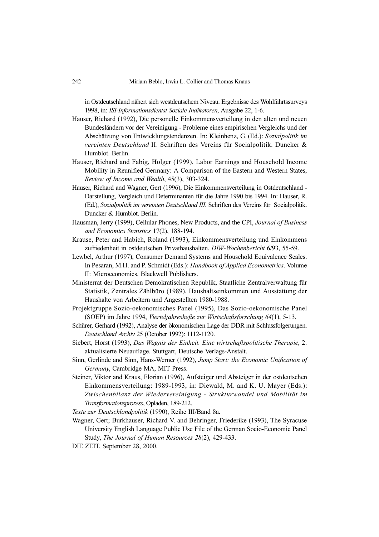in Ostdeutschland nähert sich westdeutschem Niveau. Ergebnisse des Wohlfahrtssurveys 1998, in: ISI-Informationsdientst Soziale Indikatoren, Ausgabe 22, 1-6.

- Hauser, Richard (1992), Die personelle Einkommensverteilung in den alten und neuen Bundesländern vor der Vereinigung - Probleme eines empirischen Vergleichs und der Abschätzung von Entwicklungstendenzen. In: Kleinhenz, G. (Ed.): Sozialpolitik im vereinten Deutschland II. Schriften des Vereins für Socialpolitik. Duncker & Humblot. Berlin.
- Hauser, Richard and Fabig, Holger (1999), Labor Earnings and Household Income Mobility in Reunified Germany: A Comparison of the Eastern and Western States, Review of Income and Wealth, 45(3), 303-324.
- Hauser, Richard and Wagner, Gert (1996), Die Einkommensverteilung in Ostdeutschland Darstellung, Vergleich und Determinanten für die Jahre 1990 bis 1994. In: Hauser, R. (Ed.), Sozialpolitik im vereinten Deutschland III. Schriften des Vereins für Socialpolitik. Duncker & Humblot. Berlin.
- Hausman, Jerry (1999), Cellular Phones, New Products, and the CPI, Journal of Business and Economics Statistics 17(2), 188-194.
- Krause, Peter and Habich, Roland (1993), Einkommensverteilung und Einkommens zufriedenheit in ostdeutschen Privathaushalten, DIW-Wochenbericht 6/93, 55-59.
- Lewbel, Arthur (1997), Consumer Demand Systems and Household Equivalence Scales. In Pesaran, M.H. and P. Schmidt (Eds.): Handbook of Applied Econometrics. Volume II: Microeconomics. Blackwell Publishers.
- Ministerrat der Deutschen Demokratischen Republik, Staatliche Zentralverwaltung für Statistik, Zentrales Zählbüro (1989), Haushaltseinkommen und Ausstattung der Haushalte von Arbeitern und Angestellten 1980-1988.
- Projektgruppe Sozio-oekonomisches Panel (1995), Das Sozio-oekonomische Panel (SOEP) im Jahre 1994, Vierteljahreshefte zur Wirtschaftsforschung 64(1), 5-13.
- Schürer, Gerhard (1992), Analyse der ökonomischen Lage der DDR mit Schlussfolgerungen. Deutschland Archiv 25 (October 1992): 1112-1120.
- Siebert, Horst (1993), Das Wagnis der Einheit. Eine wirtschaftspolitische Therapie, 2. aktualisierte Neuauflage. Stuttgart, Deutsche Verlags-Anstalt.
- Sinn, Gerlinde and Sinn, Hans-Werner (1992), Jump Start: the Economic Unification of Germany, Cambridge MA, MIT Press.
- Steiner, Viktor and Kraus, Florian (1996), Aufsteiger und Absteiger in der ostdeutschen Einkommensverteilung: 1989-1993, in: Diewald, M. and K. U. Mayer (Eds.): Zwischenbilanz der Wiedervereinigung - Strukturwandel und Mobilität im Transformationsprozess, Opladen, 189-212.

Texte zur Deutschlandpolitik (1990), Reihe III/Band 8a.

- Wagner, Gert; Burkhauser, Richard V. and Behringer, Friederike (1993), The Syracuse University English Language Public Use File of the German Socio-Economic Panel Study, The Journal of Human Resources 28(2), 429-433.
- DIE ZEIT, September 28, 2000.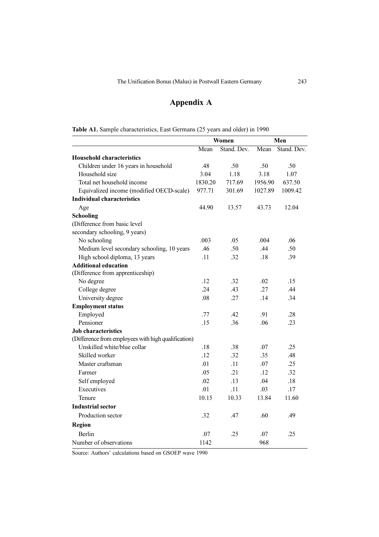# Appendix A

| Table A1. Sample characteristics, East Germans (25 years and older) in 1990 |
|-----------------------------------------------------------------------------|
|-----------------------------------------------------------------------------|

|                                                     | Women   |             | Men     |             |
|-----------------------------------------------------|---------|-------------|---------|-------------|
|                                                     | Mean    | Stand. Dev. | Mean    | Stand. Dev. |
| <b>Household characteristics</b>                    |         |             |         |             |
| Children under 16 years in household                | .48     | .50         | .50     | .50         |
| Household size                                      | 3.04    | 1.18        | 3.18    | 1.07        |
| Total net household income                          | 1830.20 | 717.69      | 1956.90 | 637.50      |
| Equivalized income (modified OECD-scale)            | 977.71  | 301.69      | 1027.89 | 1009.42     |
| <b>Individual characteristics</b>                   |         |             |         |             |
| Age                                                 | 44.90   | 13.57       | 43.73   | 12.04       |
| <b>Schooling</b>                                    |         |             |         |             |
| (Difference from basic level                        |         |             |         |             |
| secondary schooling, 9 years)                       |         |             |         |             |
| No schooling                                        | .003    | .05         | .004    | .06         |
| Medium level secondary schooling, 10 years          | .46     | .50         | .44     | .50         |
| High school diploma, 13 years                       | .11     | .32         | .18     | .39         |
| <b>Additional education</b>                         |         |             |         |             |
| (Difference from apprenticeship)                    |         |             |         |             |
| No degree                                           | .12     | .32         | .02     | .15         |
| College degree                                      | .24     | .43         | .27     | .44         |
| University degree                                   | .08     | .27         | .14     | .34         |
| <b>Employment status</b>                            |         |             |         |             |
| Employed                                            | .77     | .42         | .91     | .28         |
| Pensioner                                           | .15     | .36         | .06     | .23         |
| <b>Job</b> characteristics                          |         |             |         |             |
| (Difference from employees with high qualification) |         |             |         |             |
| Unskilled white/blue collar                         | .18     | .38         | .07     | .25         |
| Skilled worker                                      | .12     | .32         | .35     | .48         |
| Master craftsman                                    | .01     | .11         | .07     | .25         |
| Farmer                                              | .05     | .21         | .12     | .32         |
| Self employed                                       | .02     | .13         | .04     | .18         |
| Executives                                          | .01     | .11         | .03     | .17         |
| Tenure                                              | 10.15   | 10.33       | 13.84   | 11.60       |
| <b>Industrial sector</b>                            |         |             |         |             |
| Production sector                                   | .32     | .47         | .60     | .49         |
| <b>Region</b>                                       |         |             |         |             |
| <b>Berlin</b>                                       | .07     | .25         | .07     | .25         |
| Number of observations                              | 1142    |             | 968     |             |

Source: Authors' calculations based on GSOEP wave 1990